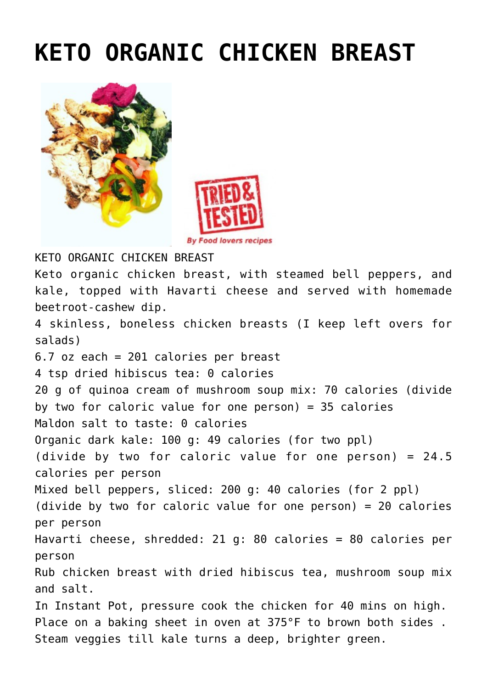## **[KETO ORGANIC CHICKEN BREAST](https://www.foodloversrecipes.com/2018/11/keto-organic-chicken-breast/)**





**By Food lovers recipes** 

KETO ORGANIC CHICKEN BREAST Keto organic chicken breast, with steamed bell peppers, and kale, topped with Havarti cheese and served with homemade beetroot-cashew dip. 4 skinless, boneless chicken breasts (I keep left overs for salads) 6.7 oz each = 201 calories per breast 4 tsp dried hibiscus tea: 0 calories 20 g of quinoa cream of mushroom soup mix: 70 calories (divide by two for caloric value for one person) =  $35$  calories Maldon salt to taste: 0 calories Organic dark kale: 100 g: 49 calories (for two ppl) (divide by two for caloric value for one person) = 24.5 calories per person Mixed bell peppers, sliced: 200 g: 40 calories (for 2 ppl) (divide by two for caloric value for one person) = 20 calories per person Havarti cheese, shredded: 21 g: 80 calories = 80 calories per person Rub chicken breast with dried hibiscus tea, mushroom soup mix and salt. In Instant Pot, pressure cook the chicken for 40 mins on high. Place on a baking sheet in oven at 375°F to brown both sides . Steam veggies till kale turns a deep, brighter green.